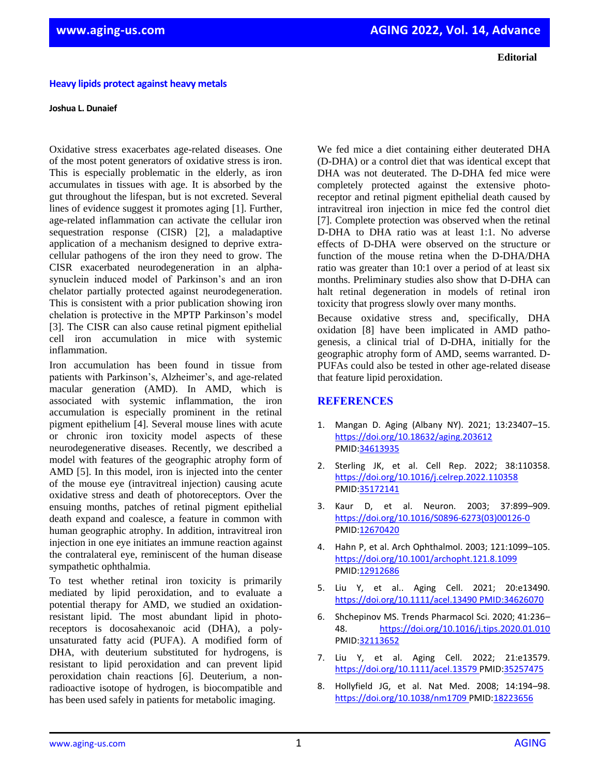**Editorial**

## **Heavy lipids protect against heavy metals**

## **Joshua L. Dunaief**

Oxidative stress exacerbates age-related diseases. One of the most potent generators of oxidative stress is iron. This is especially problematic in the elderly, as iron accumulates in tissues with age. It is absorbed by the gut throughout the lifespan, but is not excreted. Several lines of evidence suggest it promotes aging [1]. Further, age-related inflammation can activate the cellular iron sequestration response (CISR) [2], a maladaptive application of a mechanism designed to deprive extracellular pathogens of the iron they need to grow. The CISR exacerbated neurodegeneration in an alphasynuclein induced model of Parkinson's and an iron chelator partially protected against neurodegeneration. This is consistent with a prior publication showing iron chelation is protective in the MPTP Parkinson's model [3]. The CISR can also cause retinal pigment epithelial cell iron accumulation in mice with systemic inflammation.

Iron accumulation has been found in tissue from patients with Parkinson's, Alzheimer's, and age-related macular generation (AMD). In AMD, which is associated with systemic inflammation, the iron accumulation is especially prominent in the retinal pigment epithelium [4]. Several mouse lines with acute or chronic iron toxicity model aspects of these neurodegenerative diseases. Recently, we described a model with features of the geographic atrophy form of AMD [5]. In this model, iron is injected into the center of the mouse eye (intravitreal injection) causing acute oxidative stress and death of photoreceptors. Over the ensuing months, patches of retinal pigment epithelial death expand and coalesce, a feature in common with human geographic atrophy. In addition, intravitreal iron injection in one eye initiates an immune reaction against the contralateral eye, reminiscent of the human disease sympathetic ophthalmia.

To test whether retinal iron toxicity is primarily mediated by lipid peroxidation, and to evaluate a potential therapy for AMD, we studied an oxidationresistant lipid. The most abundant lipid in photoreceptors is docosahexanoic acid (DHA), a polyunsaturated fatty acid (PUFA). A modified form of DHA, with deuterium substituted for hydrogens, is resistant to lipid peroxidation and can prevent lipid peroxidation chain reactions [6]. Deuterium, a nonradioactive isotope of hydrogen, is biocompatible and has been used safely in patients for metabolic imaging.

We fed mice a diet containing either deuterated DHA (D-DHA) or a control diet that was identical except that DHA was not deuterated. The D-DHA fed mice were completely protected against the extensive photoreceptor and retinal pigment epithelial death caused by intravitreal iron injection in mice fed the control diet [7]. Complete protection was observed when the retinal D-DHA to DHA ratio was at least 1:1. No adverse effects of D-DHA were observed on the structure or function of the mouse retina when the D-DHA/DHA ratio was greater than 10:1 over a period of at least six months. Preliminary studies also show that D-DHA can halt retinal degeneration in models of retinal iron toxicity that progress slowly over many months.

Because oxidative stress and, specifically, DHA oxidation [8] have been implicated in AMD pathogenesis, a clinical trial of D-DHA, initially for the geographic atrophy form of AMD, seems warranted. D-PUFAs could also be tested in other age-related disease that feature lipid peroxidation.

## **REFERENCES**

- 1. Mangan D. Aging (Albany NY). 2021; 13:23407–15. <https://doi.org/10.18632/aging.203612> [PMID:34613935](https://pubmed.ncbi.nlm.nih.gov/34613935)
- 2. Sterling JK, et al. Cell Rep. 2022; 38:110358. <https://doi.org/10.1016/j.celrep.2022.110358> [PMID:35172141](https://pubmed.ncbi.nlm.nih.gov/35172141)
- 3. Kaur D, et al. Neuron. 2003; 37:899–909. [https://doi.org/10.1016/S0896-6273\(03\)00126-0](https://doi.org/10.1016/S0896-6273(03)00126-0) [PMID:12670420](https://pubmed.ncbi.nlm.nih.gov/12670420)
- 4. Hahn P, et al. Arch Ophthalmol. 2003; 121:1099–105. <https://doi.org/10.1001/archopht.121.8.1099> [PMID:12912686](https://pubmed.ncbi.nlm.nih.gov/12912686)
- 5. Liu Y, et al.. Aging Cell. 2021; 20:e13490. <https://doi.org/10.1111/acel.13490> [PMID:34626070](https://pubmed.ncbi.nlm.nih.gov/34626070)
- 6. Shchepinov MS. Trends Pharmacol Sci. 2020; 41:236– 48. <https://doi.org/10.1016/j.tips.2020.01.010> [PMID:32113652](https://pubmed.ncbi.nlm.nih.gov/32113652)
- 7. Liu Y, et al. Aging Cell. 2022; 21:e13579. <https://doi.org/10.1111/acel.13579> [PMID:35257475](https://pubmed.ncbi.nlm.nih.gov/35257475)
- 8. Hollyfield JG, et al. Nat Med. 2008; 14:194–98. <https://doi.org/10.1038/nm1709> [PMID:18223656](https://pubmed.ncbi.nlm.nih.gov/18223656)